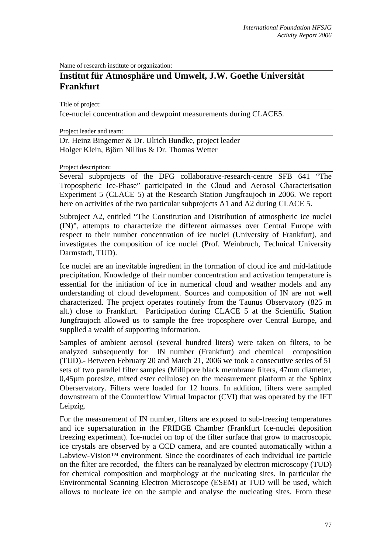Name of research institute or organization:

## **Institut für Atmosphäre und Umwelt, J.W. Goethe Universität Frankfurt**

Title of project:

Ice-nuclei concentration and dewpoint measurements during CLACE5.

Project leader and team:

Dr. Heinz Bingemer & Dr. Ulrich Bundke, project leader Holger Klein, Björn Nillius & Dr. Thomas Wetter

## Project description:

Several subprojects of the DFG collaborative-research-centre SFB 641 "The Tropospheric Ice-Phase" participated in the Cloud and Aerosol Characterisation Experiment 5 (CLACE 5) at the Research Station Jungfraujoch in 2006. We report here on activities of the two particular subprojects A1 and A2 during CLACE 5.

Subroject A2, entitled "The Constitution and Distribution of atmospheric ice nuclei (IN)", attempts to characterize the different airmasses over Central Europe with respect to their number concentration of ice nuclei (University of Frankfurt), and investigates the composition of ice nuclei (Prof. Weinbruch, Technical University Darmstadt, TUD).

Ice nuclei are an inevitable ingredient in the formation of cloud ice and mid-latitude precipitation. Knowledge of their number concentration and activation temperature is essential for the initiation of ice in numerical cloud and weather models and any understanding of cloud development. Sources and composition of IN are not well characterized. The project operates routinely from the Taunus Observatory (825 m alt.) close to Frankfurt. Participation during CLACE 5 at the Scientific Station Jungfraujoch allowed us to sample the free troposphere over Central Europe, and supplied a wealth of supporting information.

Samples of ambient aerosol (several hundred liters) were taken on filters, to be analyzed subsequently for IN number (Frankfurt) and chemical composition (TUD).- Between February 20 and March 21, 2006 we took a consecutive series of 51 sets of two parallel filter samples (Millipore black membrane filters, 47mm diameter, 0,45µm poresize, mixed ester cellulose) on the measurement platform at the Sphinx Oberservatory. Filters were loaded for 12 hours. In addition, filters were sampled downstream of the Counterflow Virtual Impactor (CVI) that was operated by the IFT Leipzig.

For the measurement of IN number, filters are exposed to sub-freezing temperatures and ice supersaturation in the FRIDGE Chamber (Frankfurt Ice-nuclei deposition freezing experiment). Ice-nuclei on top of the filter surface that grow to macroscopic ice crystals are observed by a CCD camera, and are counted automatically within a Labview-Vision™ environment. Since the coordinates of each individual ice particle on the filter are recorded, the filters can be reanalyzed by electron microscopy (TUD) for chemical composition and morphology at the nucleating sites. In particular the Environmental Scanning Electron Microscope (ESEM) at TUD will be used, which allows to nucleate ice on the sample and analyse the nucleating sites. From these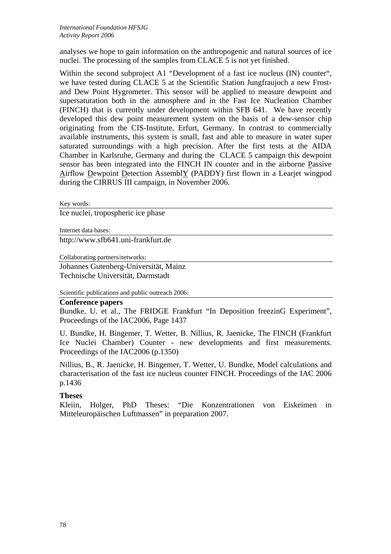analyses we hope to gain information on the anthropogenic and natural sources of ice nuclei. The processing of the samples from CLACE 5 is not yet finished.

Within the second subproject A1 "Development of a fast ice nucleus (IN) counter", we have tested during CLACE 5 at the Scientific Station Jungfraujoch a new Frostand Dew Point Hygrometer. This sensor will be applied to measure dewpoint and supersaturation both in the atmosphere and in the Fast Ice Nucleation Chamber (FINCH) that is currently under development within SFB 641. We have recently developed this dew point measurement system on the basis of a dew-sensor chip originating from the CIS-Institute, Erfurt, Germany. In contrast to commercially available instruments, this system is small, fast and able to measure in water super saturated surroundings with a high precision. After the first tests at the AIDA Chamber in Karlsruhe, Germany and during the CLACE 5 campaign this dewpoint sensor has been integrated into the FINCH IN counter and in the airborne Passive Airflow Dewpoint Detection AssemblY (PADDY) first flown in a Learjet wingpod during the CIRRUS III campaign, in November 2006.

Key words:

Ice nuclei, tropospheric ice phase

Internet data bases: http://www.sfb641.uni-frankfurt.de

Collaborating partners/networks:

Johannes Gutenberg-Universität, Mainz Technische Universität, Darmstadt

Scientific publications and public outreach 2006:

## **Conference papers**

Bundke, U. et al., The FRIDGE Frankfurt "In Deposition freezinG Experiment", Proceedings of the IAC2006, Page 1437

U. Bundke, H. Bingemer, T. Wetter, B. Nillius, R. Jaenicke, The FINCH (Frankfurt Ice Nuclei Chamber) Counter - new developments and first measurements. Proceedings of the IAC2006 (p.1350)

Nillius, B., R. Jaenicke, H. Bingemer, T. Wetter, U. Bundke, Model calculations and characterisation of the fast ice nucleus counter FINCH. Proceedings of the IAC 2006 p.1436

## **Theses**

Kleiin, Holger, PhD Theses: "Die Konzentrationen von Eiskeimen in Mitteleuropäischen Luftmassen" in preparation 2007.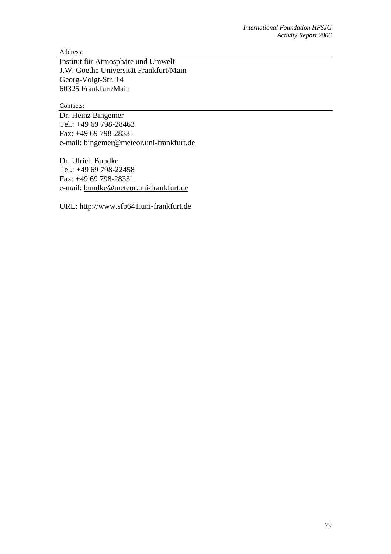Address:

Institut für Atmosphäre und Umwelt J.W. Goethe Universität Frankfurt/Main Georg-Voigt-Str. 14 60325 Frankfurt/Main

Contacts:

Dr. Heinz Bingemer Tel.: +49 69 798-28463 Fax: +49 69 798-28331 e-mail: bingemer@meteor.uni-frankfurt.de

Dr. Ulrich Bundke Tel.: +49 69 798-22458 Fax: +49 69 798-28331 e-mail: bundke@meteor.uni-frankfurt.de

URL: http://www.sfb641.uni-frankfurt.de